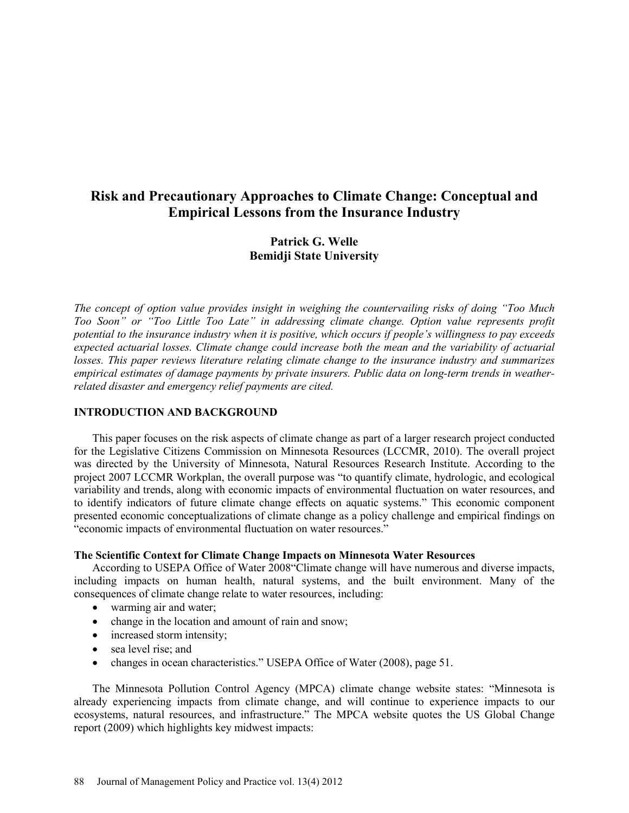# **Risk and Precautionary Approaches to Climate Change: Conceptual and Empirical Lessons from the Insurance Industry**

## **Patrick G. Welle Bemidji State University**

*The concept of option value provides insight in weighing the countervailing risks of doing "Too Much Too Soon" or "Too Little Too Late" in addressing climate change. Option value represents profit potential to the insurance industry when it is positive, which occurs if people's willingness to pay exceeds expected actuarial losses. Climate change could increase both the mean and the variability of actuarial losses. This paper reviews literature relating climate change to the insurance industry and summarizes empirical estimates of damage payments by private insurers. Public data on long-term trends in weatherrelated disaster and emergency relief payments are cited.*

## **INTRODUCTION AND BACKGROUND**

This paper focuses on the risk aspects of climate change as part of a larger research project conducted for the Legislative Citizens Commission on Minnesota Resources (LCCMR, 2010). The overall project was directed by the University of Minnesota, Natural Resources Research Institute. According to the project 2007 LCCMR Workplan, the overall purpose was "to quantify climate, hydrologic, and ecological variability and trends, along with economic impacts of environmental fluctuation on water resources, and to identify indicators of future climate change effects on aquatic systems." This economic component presented economic conceptualizations of climate change as a policy challenge and empirical findings on "economic impacts of environmental fluctuation on water resources."

#### **The Scientific Context for Climate Change Impacts on Minnesota Water Resources**

According to USEPA Office of Water 2008"Climate change will have numerous and diverse impacts, including impacts on human health, natural systems, and the built environment. Many of the consequences of climate change relate to water resources, including:

- warming air and water;
- change in the location and amount of rain and snow;
- increased storm intensity;
- sea level rise; and
- changes in ocean characteristics." USEPA Office of Water (2008), page 51.

The Minnesota Pollution Control Agency (MPCA) climate change website states: "Minnesota is already experiencing impacts from climate change, and will continue to experience impacts to our ecosystems, natural resources, and infrastructure." The MPCA website quotes the US Global Change report (2009) which highlights key midwest impacts: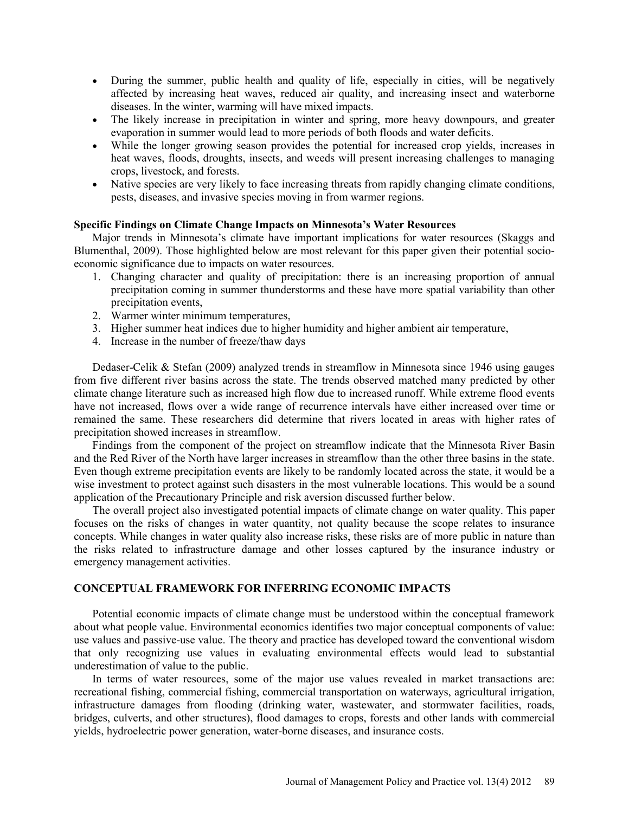- During the summer, public health and quality of life, especially in cities, will be negatively affected by increasing heat waves, reduced air quality, and increasing insect and waterborne diseases. In the winter, warming will have mixed impacts.
- The likely increase in precipitation in winter and spring, more heavy downpours, and greater evaporation in summer would lead to more periods of both floods and water deficits.
- While the longer growing season provides the potential for increased crop yields, increases in heat waves, floods, droughts, insects, and weeds will present increasing challenges to managing crops, livestock, and forests.
- Native species are very likely to face increasing threats from rapidly changing climate conditions, pests, diseases, and invasive species moving in from warmer regions.

## **Specific Findings on Climate Change Impacts on Minnesota's Water Resources**

Major trends in Minnesota's climate have important implications for water resources (Skaggs and Blumenthal, 2009). Those highlighted below are most relevant for this paper given their potential socioeconomic significance due to impacts on water resources.

- 1. Changing character and quality of precipitation: there is an increasing proportion of annual precipitation coming in summer thunderstorms and these have more spatial variability than other precipitation events,
- 2. Warmer winter minimum temperatures,
- 3. Higher summer heat indices due to higher humidity and higher ambient air temperature,
- 4. Increase in the number of freeze/thaw days

Dedaser-Celik & Stefan (2009) analyzed trends in streamflow in Minnesota since 1946 using gauges from five different river basins across the state. The trends observed matched many predicted by other climate change literature such as increased high flow due to increased runoff. While extreme flood events have not increased, flows over a wide range of recurrence intervals have either increased over time or remained the same. These researchers did determine that rivers located in areas with higher rates of precipitation showed increases in streamflow.

Findings from the component of the project on streamflow indicate that the Minnesota River Basin and the Red River of the North have larger increases in streamflow than the other three basins in the state. Even though extreme precipitation events are likely to be randomly located across the state, it would be a wise investment to protect against such disasters in the most vulnerable locations. This would be a sound application of the Precautionary Principle and risk aversion discussed further below.

The overall project also investigated potential impacts of climate change on water quality. This paper focuses on the risks of changes in water quantity, not quality because the scope relates to insurance concepts. While changes in water quality also increase risks, these risks are of more public in nature than the risks related to infrastructure damage and other losses captured by the insurance industry or emergency management activities.

## **CONCEPTUAL FRAMEWORK FOR INFERRING ECONOMIC IMPACTS**

Potential economic impacts of climate change must be understood within the conceptual framework about what people value. Environmental economics identifies two major conceptual components of value: use values and passive-use value. The theory and practice has developed toward the conventional wisdom that only recognizing use values in evaluating environmental effects would lead to substantial underestimation of value to the public.

In terms of water resources, some of the major use values revealed in market transactions are: recreational fishing, commercial fishing, commercial transportation on waterways, agricultural irrigation, infrastructure damages from flooding (drinking water, wastewater, and stormwater facilities, roads, bridges, culverts, and other structures), flood damages to crops, forests and other lands with commercial yields, hydroelectric power generation, water-borne diseases, and insurance costs.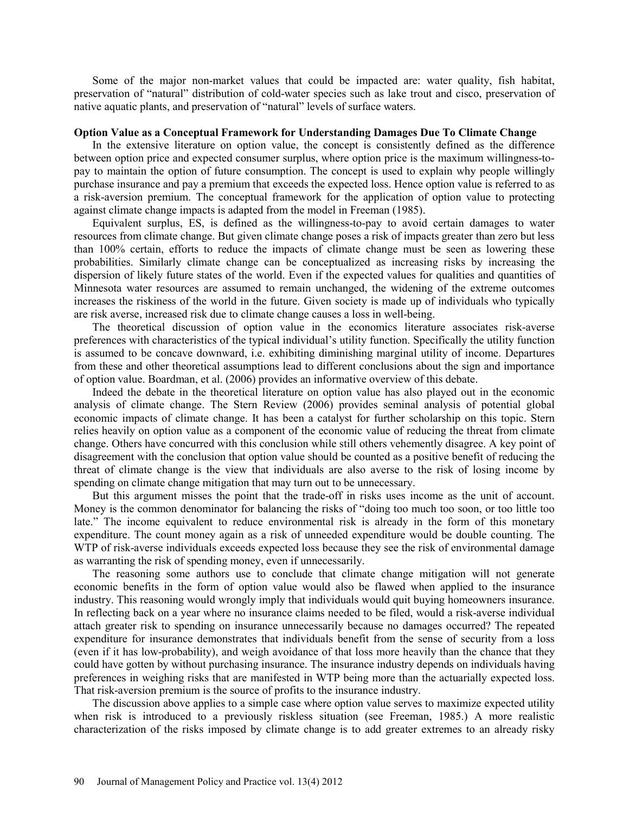Some of the major non-market values that could be impacted are: water quality, fish habitat, preservation of "natural" distribution of cold-water species such as lake trout and cisco, preservation of native aquatic plants, and preservation of "natural" levels of surface waters.

#### **Option Value as a Conceptual Framework for Understanding Damages Due To Climate Change**

In the extensive literature on option value, the concept is consistently defined as the difference between option price and expected consumer surplus, where option price is the maximum willingness-topay to maintain the option of future consumption. The concept is used to explain why people willingly purchase insurance and pay a premium that exceeds the expected loss. Hence option value is referred to as a risk-aversion premium. The conceptual framework for the application of option value to protecting against climate change impacts is adapted from the model in Freeman (1985).

Equivalent surplus, ES, is defined as the willingness-to-pay to avoid certain damages to water resources from climate change. But given climate change poses a risk of impacts greater than zero but less than 100% certain, efforts to reduce the impacts of climate change must be seen as lowering these probabilities. Similarly climate change can be conceptualized as increasing risks by increasing the dispersion of likely future states of the world. Even if the expected values for qualities and quantities of Minnesota water resources are assumed to remain unchanged, the widening of the extreme outcomes increases the riskiness of the world in the future. Given society is made up of individuals who typically are risk averse, increased risk due to climate change causes a loss in well-being.

The theoretical discussion of option value in the economics literature associates risk-averse preferences with characteristics of the typical individual's utility function. Specifically the utility function is assumed to be concave downward, i.e. exhibiting diminishing marginal utility of income. Departures from these and other theoretical assumptions lead to different conclusions about the sign and importance of option value. Boardman, et al. (2006) provides an informative overview of this debate.

Indeed the debate in the theoretical literature on option value has also played out in the economic analysis of climate change. The Stern Review (2006) provides seminal analysis of potential global economic impacts of climate change. It has been a catalyst for further scholarship on this topic. Stern relies heavily on option value as a component of the economic value of reducing the threat from climate change. Others have concurred with this conclusion while still others vehemently disagree. A key point of disagreement with the conclusion that option value should be counted as a positive benefit of reducing the threat of climate change is the view that individuals are also averse to the risk of losing income by spending on climate change mitigation that may turn out to be unnecessary.

But this argument misses the point that the trade-off in risks uses income as the unit of account. Money is the common denominator for balancing the risks of "doing too much too soon, or too little too late." The income equivalent to reduce environmental risk is already in the form of this monetary expenditure. The count money again as a risk of unneeded expenditure would be double counting. The WTP of risk-averse individuals exceeds expected loss because they see the risk of environmental damage as warranting the risk of spending money, even if unnecessarily.

The reasoning some authors use to conclude that climate change mitigation will not generate economic benefits in the form of option value would also be flawed when applied to the insurance industry. This reasoning would wrongly imply that individuals would quit buying homeowners insurance. In reflecting back on a year where no insurance claims needed to be filed, would a risk-averse individual attach greater risk to spending on insurance unnecessarily because no damages occurred? The repeated expenditure for insurance demonstrates that individuals benefit from the sense of security from a loss (even if it has low-probability), and weigh avoidance of that loss more heavily than the chance that they could have gotten by without purchasing insurance. The insurance industry depends on individuals having preferences in weighing risks that are manifested in WTP being more than the actuarially expected loss. That risk-aversion premium is the source of profits to the insurance industry.

The discussion above applies to a simple case where option value serves to maximize expected utility when risk is introduced to a previously riskless situation (see Freeman, 1985.) A more realistic characterization of the risks imposed by climate change is to add greater extremes to an already risky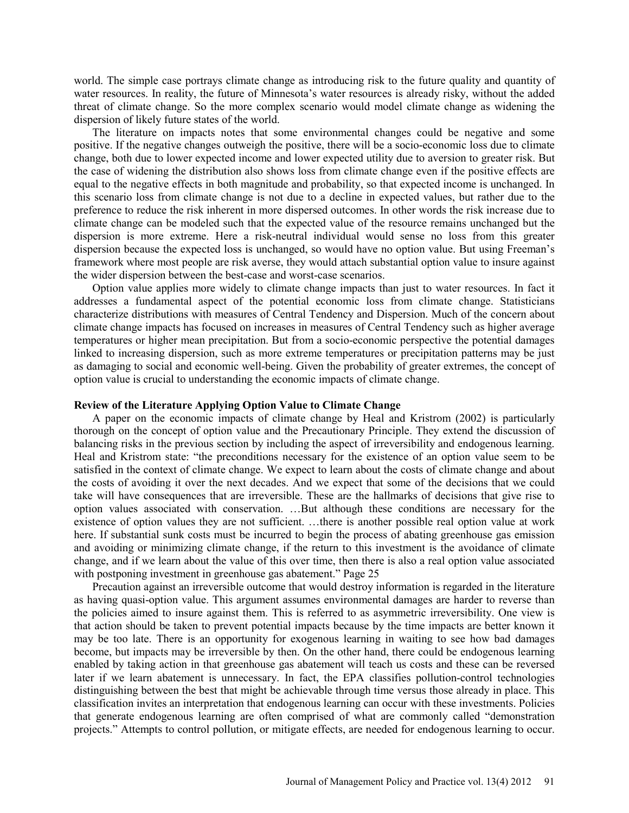world. The simple case portrays climate change as introducing risk to the future quality and quantity of water resources. In reality, the future of Minnesota's water resources is already risky, without the added threat of climate change. So the more complex scenario would model climate change as widening the dispersion of likely future states of the world.

The literature on impacts notes that some environmental changes could be negative and some positive. If the negative changes outweigh the positive, there will be a socio-economic loss due to climate change, both due to lower expected income and lower expected utility due to aversion to greater risk. But the case of widening the distribution also shows loss from climate change even if the positive effects are equal to the negative effects in both magnitude and probability, so that expected income is unchanged. In this scenario loss from climate change is not due to a decline in expected values, but rather due to the preference to reduce the risk inherent in more dispersed outcomes. In other words the risk increase due to climate change can be modeled such that the expected value of the resource remains unchanged but the dispersion is more extreme. Here a risk-neutral individual would sense no loss from this greater dispersion because the expected loss is unchanged, so would have no option value. But using Freeman's framework where most people are risk averse, they would attach substantial option value to insure against the wider dispersion between the best-case and worst-case scenarios.

Option value applies more widely to climate change impacts than just to water resources. In fact it addresses a fundamental aspect of the potential economic loss from climate change. Statisticians characterize distributions with measures of Central Tendency and Dispersion. Much of the concern about climate change impacts has focused on increases in measures of Central Tendency such as higher average temperatures or higher mean precipitation. But from a socio-economic perspective the potential damages linked to increasing dispersion, such as more extreme temperatures or precipitation patterns may be just as damaging to social and economic well-being. Given the probability of greater extremes, the concept of option value is crucial to understanding the economic impacts of climate change.

#### **Review of the Literature Applying Option Value to Climate Change**

A paper on the economic impacts of climate change by Heal and Kristrom (2002) is particularly thorough on the concept of option value and the Precautionary Principle. They extend the discussion of balancing risks in the previous section by including the aspect of irreversibility and endogenous learning. Heal and Kristrom state: "the preconditions necessary for the existence of an option value seem to be satisfied in the context of climate change. We expect to learn about the costs of climate change and about the costs of avoiding it over the next decades. And we expect that some of the decisions that we could take will have consequences that are irreversible. These are the hallmarks of decisions that give rise to option values associated with conservation. …But although these conditions are necessary for the existence of option values they are not sufficient. …there is another possible real option value at work here. If substantial sunk costs must be incurred to begin the process of abating greenhouse gas emission and avoiding or minimizing climate change, if the return to this investment is the avoidance of climate change, and if we learn about the value of this over time, then there is also a real option value associated with postponing investment in greenhouse gas abatement." Page 25

Precaution against an irreversible outcome that would destroy information is regarded in the literature as having quasi-option value. This argument assumes environmental damages are harder to reverse than the policies aimed to insure against them. This is referred to as asymmetric irreversibility. One view is that action should be taken to prevent potential impacts because by the time impacts are better known it may be too late. There is an opportunity for exogenous learning in waiting to see how bad damages become, but impacts may be irreversible by then. On the other hand, there could be endogenous learning enabled by taking action in that greenhouse gas abatement will teach us costs and these can be reversed later if we learn abatement is unnecessary. In fact, the EPA classifies pollution-control technologies distinguishing between the best that might be achievable through time versus those already in place. This classification invites an interpretation that endogenous learning can occur with these investments. Policies that generate endogenous learning are often comprised of what are commonly called "demonstration projects." Attempts to control pollution, or mitigate effects, are needed for endogenous learning to occur.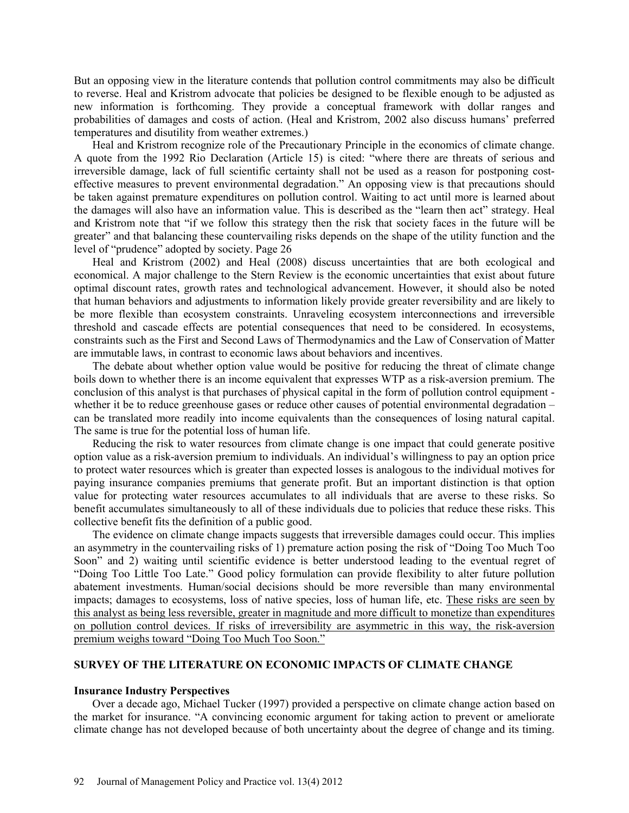But an opposing view in the literature contends that pollution control commitments may also be difficult to reverse. Heal and Kristrom advocate that policies be designed to be flexible enough to be adjusted as new information is forthcoming. They provide a conceptual framework with dollar ranges and probabilities of damages and costs of action. (Heal and Kristrom, 2002 also discuss humans' preferred temperatures and disutility from weather extremes.)

Heal and Kristrom recognize role of the Precautionary Principle in the economics of climate change. A quote from the 1992 Rio Declaration (Article 15) is cited: "where there are threats of serious and irreversible damage, lack of full scientific certainty shall not be used as a reason for postponing costeffective measures to prevent environmental degradation." An opposing view is that precautions should be taken against premature expenditures on pollution control. Waiting to act until more is learned about the damages will also have an information value. This is described as the "learn then act" strategy. Heal and Kristrom note that "if we follow this strategy then the risk that society faces in the future will be greater" and that balancing these countervailing risks depends on the shape of the utility function and the level of "prudence" adopted by society. Page 26

Heal and Kristrom (2002) and Heal (2008) discuss uncertainties that are both ecological and economical. A major challenge to the Stern Review is the economic uncertainties that exist about future optimal discount rates, growth rates and technological advancement. However, it should also be noted that human behaviors and adjustments to information likely provide greater reversibility and are likely to be more flexible than ecosystem constraints. Unraveling ecosystem interconnections and irreversible threshold and cascade effects are potential consequences that need to be considered. In ecosystems, constraints such as the First and Second Laws of Thermodynamics and the Law of Conservation of Matter are immutable laws, in contrast to economic laws about behaviors and incentives.

The debate about whether option value would be positive for reducing the threat of climate change boils down to whether there is an income equivalent that expresses WTP as a risk-aversion premium. The conclusion of this analyst is that purchases of physical capital in the form of pollution control equipment whether it be to reduce greenhouse gases or reduce other causes of potential environmental degradation – can be translated more readily into income equivalents than the consequences of losing natural capital. The same is true for the potential loss of human life.

Reducing the risk to water resources from climate change is one impact that could generate positive option value as a risk-aversion premium to individuals. An individual's willingness to pay an option price to protect water resources which is greater than expected losses is analogous to the individual motives for paying insurance companies premiums that generate profit. But an important distinction is that option value for protecting water resources accumulates to all individuals that are averse to these risks. So benefit accumulates simultaneously to all of these individuals due to policies that reduce these risks. This collective benefit fits the definition of a public good.

The evidence on climate change impacts suggests that irreversible damages could occur. This implies an asymmetry in the countervailing risks of 1) premature action posing the risk of "Doing Too Much Too Soon" and 2) waiting until scientific evidence is better understood leading to the eventual regret of "Doing Too Little Too Late." Good policy formulation can provide flexibility to alter future pollution abatement investments. Human/social decisions should be more reversible than many environmental impacts; damages to ecosystems, loss of native species, loss of human life, etc. These risks are seen by this analyst as being less reversible, greater in magnitude and more difficult to monetize than expenditures on pollution control devices. If risks of irreversibility are asymmetric in this way, the risk-aversion premium weighs toward "Doing Too Much Too Soon."

#### **SURVEY OF THE LITERATURE ON ECONOMIC IMPACTS OF CLIMATE CHANGE**

#### **Insurance Industry Perspectives**

Over a decade ago, Michael Tucker (1997) provided a perspective on climate change action based on the market for insurance. "A convincing economic argument for taking action to prevent or ameliorate climate change has not developed because of both uncertainty about the degree of change and its timing.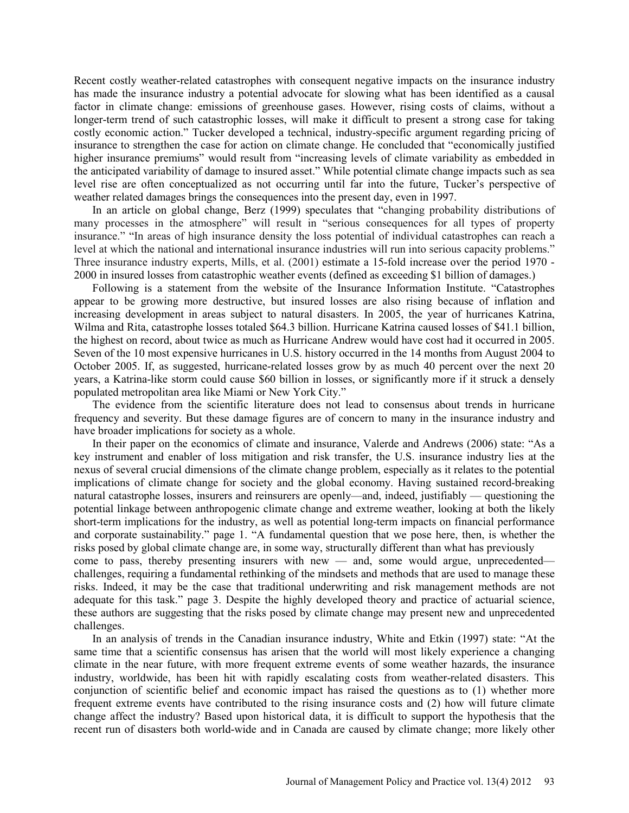Recent costly weather-related catastrophes with consequent negative impacts on the insurance industry has made the insurance industry a potential advocate for slowing what has been identified as a causal factor in climate change: emissions of greenhouse gases. However, rising costs of claims, without a longer-term trend of such catastrophic losses, will make it difficult to present a strong case for taking costly economic action." Tucker developed a technical, industry-specific argument regarding pricing of insurance to strengthen the case for action on climate change. He concluded that "economically justified higher insurance premiums" would result from "increasing levels of climate variability as embedded in the anticipated variability of damage to insured asset." While potential climate change impacts such as sea level rise are often conceptualized as not occurring until far into the future, Tucker's perspective of weather related damages brings the consequences into the present day, even in 1997.

In an article on global change, Berz (1999) speculates that "changing probability distributions of many processes in the atmosphere" will result in "serious consequences for all types of property insurance." "In areas of high insurance density the loss potential of individual catastrophes can reach a level at which the national and international insurance industries will run into serious capacity problems." Three insurance industry experts, Mills, et al. (2001) estimate a 15-fold increase over the period 1970 - 2000 in insured losses from catastrophic weather events (defined as exceeding \$1 billion of damages.)

Following is a statement from the website of the Insurance Information Institute. "Catastrophes appear to be growing more destructive, but insured losses are also rising because of inflation and increasing development in areas subject to natural disasters. In 2005, the year of hurricanes Katrina, Wilma and Rita, catastrophe losses totaled \$64.3 billion. Hurricane Katrina caused losses of \$41.1 billion, the highest on record, about twice as much as Hurricane Andrew would have cost had it occurred in 2005. Seven of the 10 most expensive hurricanes in U.S. history occurred in the 14 months from August 2004 to October 2005. If, as suggested, hurricane-related losses grow by as much 40 percent over the next 20 years, a Katrina-like storm could cause \$60 billion in losses, or significantly more if it struck a densely populated metropolitan area like Miami or New York City."

The evidence from the scientific literature does not lead to consensus about trends in hurricane frequency and severity. But these damage figures are of concern to many in the insurance industry and have broader implications for society as a whole.

In their paper on the economics of climate and insurance, Valerde and Andrews (2006) state: "As a key instrument and enabler of loss mitigation and risk transfer, the U.S. insurance industry lies at the nexus of several crucial dimensions of the climate change problem, especially as it relates to the potential implications of climate change for society and the global economy. Having sustained record-breaking natural catastrophe losses, insurers and reinsurers are openly—and, indeed, justifiably — questioning the potential linkage between anthropogenic climate change and extreme weather, looking at both the likely short-term implications for the industry, as well as potential long-term impacts on financial performance and corporate sustainability." page 1. "A fundamental question that we pose here, then, is whether the risks posed by global climate change are, in some way, structurally different than what has previously come to pass, thereby presenting insurers with new — and, some would argue, unprecedented challenges, requiring a fundamental rethinking of the mindsets and methods that are used to manage these risks. Indeed, it may be the case that traditional underwriting and risk management methods are not adequate for this task." page 3. Despite the highly developed theory and practice of actuarial science, these authors are suggesting that the risks posed by climate change may present new and unprecedented

In an analysis of trends in the Canadian insurance industry, White and Etkin (1997) state: "At the same time that a scientific consensus has arisen that the world will most likely experience a changing climate in the near future, with more frequent extreme events of some weather hazards, the insurance industry, worldwide, has been hit with rapidly escalating costs from weather-related disasters. This conjunction of scientific belief and economic impact has raised the questions as to (1) whether more frequent extreme events have contributed to the rising insurance costs and (2) how will future climate change affect the industry? Based upon historical data, it is difficult to support the hypothesis that the recent run of disasters both world-wide and in Canada are caused by climate change; more likely other

challenges.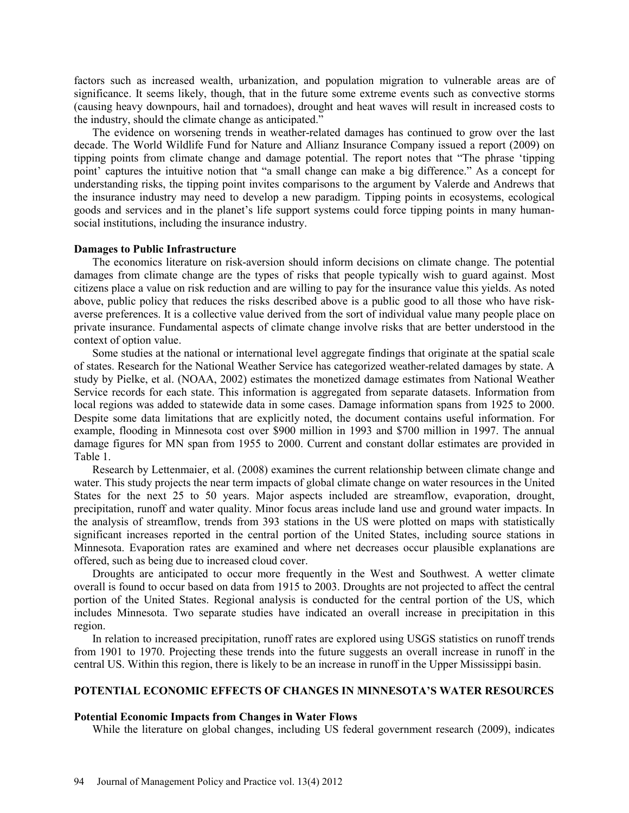factors such as increased wealth, urbanization, and population migration to vulnerable areas are of significance. It seems likely, though, that in the future some extreme events such as convective storms (causing heavy downpours, hail and tornadoes), drought and heat waves will result in increased costs to the industry, should the climate change as anticipated."

The evidence on worsening trends in weather-related damages has continued to grow over the last decade. The World Wildlife Fund for Nature and Allianz Insurance Company issued a report (2009) on tipping points from climate change and damage potential. The report notes that "The phrase 'tipping point' captures the intuitive notion that "a small change can make a big difference." As a concept for understanding risks, the tipping point invites comparisons to the argument by Valerde and Andrews that the insurance industry may need to develop a new paradigm. Tipping points in ecosystems, ecological goods and services and in the planet's life support systems could force tipping points in many humansocial institutions, including the insurance industry.

#### **Damages to Public Infrastructure**

The economics literature on risk-aversion should inform decisions on climate change. The potential damages from climate change are the types of risks that people typically wish to guard against. Most citizens place a value on risk reduction and are willing to pay for the insurance value this yields. As noted above, public policy that reduces the risks described above is a public good to all those who have riskaverse preferences. It is a collective value derived from the sort of individual value many people place on private insurance. Fundamental aspects of climate change involve risks that are better understood in the context of option value.

Some studies at the national or international level aggregate findings that originate at the spatial scale of states. Research for the National Weather Service has categorized weather-related damages by state. A study by Pielke, et al. (NOAA, 2002) estimates the monetized damage estimates from National Weather Service records for each state. This information is aggregated from separate datasets. Information from local regions was added to statewide data in some cases. Damage information spans from 1925 to 2000. Despite some data limitations that are explicitly noted, the document contains useful information. For example, flooding in Minnesota cost over \$900 million in 1993 and \$700 million in 1997. The annual damage figures for MN span from 1955 to 2000. Current and constant dollar estimates are provided in Table 1.

Research by Lettenmaier, et al. (2008) examines the current relationship between climate change and water. This study projects the near term impacts of global climate change on water resources in the United States for the next 25 to 50 years. Major aspects included are streamflow, evaporation, drought, precipitation, runoff and water quality. Minor focus areas include land use and ground water impacts. In the analysis of streamflow, trends from 393 stations in the US were plotted on maps with statistically significant increases reported in the central portion of the United States, including source stations in Minnesota. Evaporation rates are examined and where net decreases occur plausible explanations are offered, such as being due to increased cloud cover.

Droughts are anticipated to occur more frequently in the West and Southwest. A wetter climate overall is found to occur based on data from 1915 to 2003. Droughts are not projected to affect the central portion of the United States. Regional analysis is conducted for the central portion of the US, which includes Minnesota. Two separate studies have indicated an overall increase in precipitation in this region.

In relation to increased precipitation, runoff rates are explored using USGS statistics on runoff trends from 1901 to 1970. Projecting these trends into the future suggests an overall increase in runoff in the central US. Within this region, there is likely to be an increase in runoff in the Upper Mississippi basin.

## **POTENTIAL ECONOMIC EFFECTS OF CHANGES IN MINNESOTA'S WATER RESOURCES**

#### **Potential Economic Impacts from Changes in Water Flows**

While the literature on global changes, including US federal government research (2009), indicates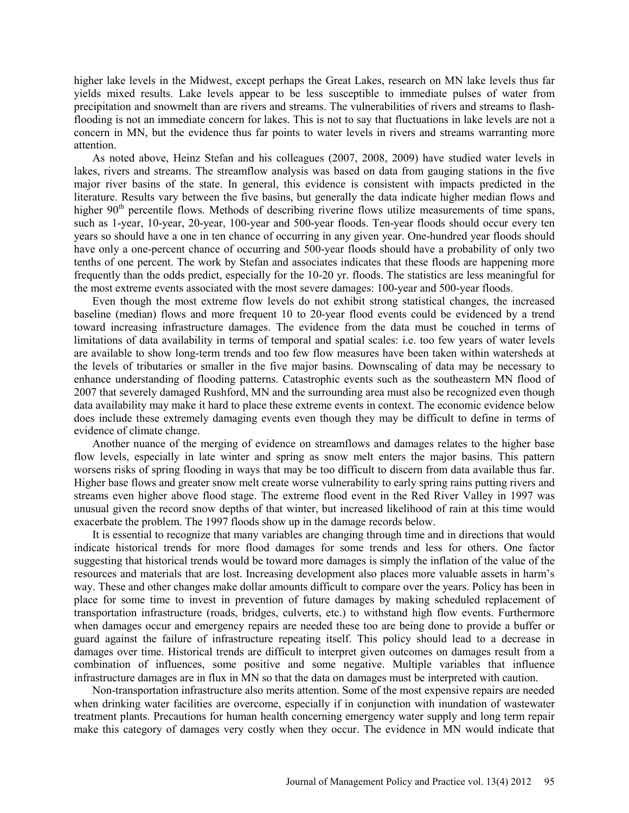higher lake levels in the Midwest, except perhaps the Great Lakes, research on MN lake levels thus far yields mixed results. Lake levels appear to be less susceptible to immediate pulses of water from precipitation and snowmelt than are rivers and streams. The vulnerabilities of rivers and streams to flashflooding is not an immediate concern for lakes. This is not to say that fluctuations in lake levels are not a concern in MN, but the evidence thus far points to water levels in rivers and streams warranting more attention.

As noted above, Heinz Stefan and his colleagues (2007, 2008, 2009) have studied water levels in lakes, rivers and streams. The streamflow analysis was based on data from gauging stations in the five major river basins of the state. In general, this evidence is consistent with impacts predicted in the literature. Results vary between the five basins, but generally the data indicate higher median flows and higher  $90<sup>th</sup>$  percentile flows. Methods of describing riverine flows utilize measurements of time spans, such as 1-year, 10-year, 20-year, 100-year and 500-year floods. Ten-year floods should occur every ten years so should have a one in ten chance of occurring in any given year. One-hundred year floods should have only a one-percent chance of occurring and 500-year floods should have a probability of only two tenths of one percent. The work by Stefan and associates indicates that these floods are happening more frequently than the odds predict, especially for the 10-20 yr. floods. The statistics are less meaningful for the most extreme events associated with the most severe damages: 100-year and 500-year floods.

Even though the most extreme flow levels do not exhibit strong statistical changes, the increased baseline (median) flows and more frequent 10 to 20-year flood events could be evidenced by a trend toward increasing infrastructure damages. The evidence from the data must be couched in terms of limitations of data availability in terms of temporal and spatial scales: i.e. too few years of water levels are available to show long-term trends and too few flow measures have been taken within watersheds at the levels of tributaries or smaller in the five major basins. Downscaling of data may be necessary to enhance understanding of flooding patterns. Catastrophic events such as the southeastern MN flood of 2007 that severely damaged Rushford, MN and the surrounding area must also be recognized even though data availability may make it hard to place these extreme events in context. The economic evidence below does include these extremely damaging events even though they may be difficult to define in terms of evidence of climate change.

Another nuance of the merging of evidence on streamflows and damages relates to the higher base flow levels, especially in late winter and spring as snow melt enters the major basins. This pattern worsens risks of spring flooding in ways that may be too difficult to discern from data available thus far. Higher base flows and greater snow melt create worse vulnerability to early spring rains putting rivers and streams even higher above flood stage. The extreme flood event in the Red River Valley in 1997 was unusual given the record snow depths of that winter, but increased likelihood of rain at this time would exacerbate the problem. The 1997 floods show up in the damage records below.

It is essential to recognize that many variables are changing through time and in directions that would indicate historical trends for more flood damages for some trends and less for others. One factor suggesting that historical trends would be toward more damages is simply the inflation of the value of the resources and materials that are lost. Increasing development also places more valuable assets in harm's way. These and other changes make dollar amounts difficult to compare over the years. Policy has been in place for some time to invest in prevention of future damages by making scheduled replacement of transportation infrastructure (roads, bridges, culverts, etc.) to withstand high flow events. Furthermore when damages occur and emergency repairs are needed these too are being done to provide a buffer or guard against the failure of infrastructure repeating itself. This policy should lead to a decrease in damages over time. Historical trends are difficult to interpret given outcomes on damages result from a combination of influences, some positive and some negative. Multiple variables that influence infrastructure damages are in flux in MN so that the data on damages must be interpreted with caution.

Non-transportation infrastructure also merits attention. Some of the most expensive repairs are needed when drinking water facilities are overcome, especially if in conjunction with inundation of wastewater treatment plants. Precautions for human health concerning emergency water supply and long term repair make this category of damages very costly when they occur. The evidence in MN would indicate that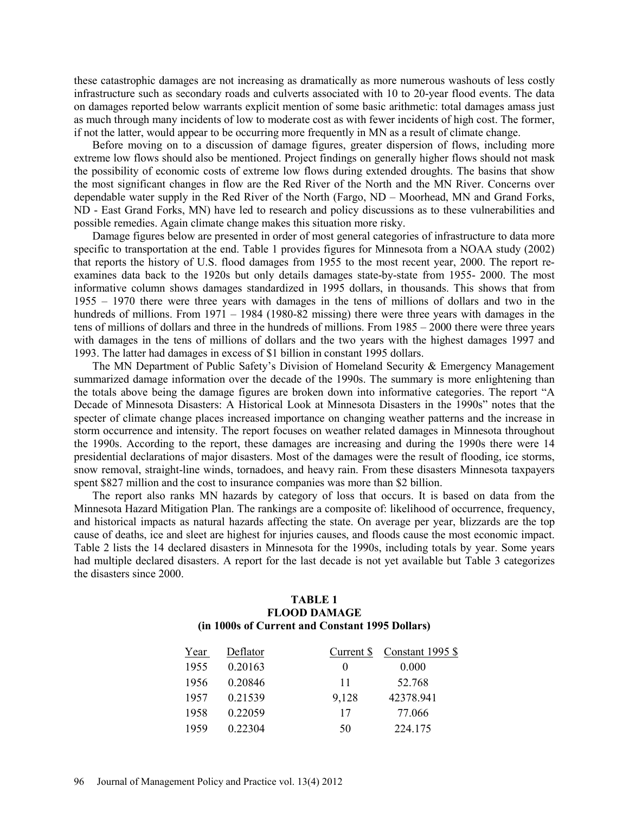these catastrophic damages are not increasing as dramatically as more numerous washouts of less costly infrastructure such as secondary roads and culverts associated with 10 to 20-year flood events. The data on damages reported below warrants explicit mention of some basic arithmetic: total damages amass just as much through many incidents of low to moderate cost as with fewer incidents of high cost. The former, if not the latter, would appear to be occurring more frequently in MN as a result of climate change.

Before moving on to a discussion of damage figures, greater dispersion of flows, including more extreme low flows should also be mentioned. Project findings on generally higher flows should not mask the possibility of economic costs of extreme low flows during extended droughts. The basins that show the most significant changes in flow are the Red River of the North and the MN River. Concerns over dependable water supply in the Red River of the North (Fargo, ND – Moorhead, MN and Grand Forks, ND - East Grand Forks, MN) have led to research and policy discussions as to these vulnerabilities and possible remedies. Again climate change makes this situation more risky.

Damage figures below are presented in order of most general categories of infrastructure to data more specific to transportation at the end. Table 1 provides figures for Minnesota from a NOAA study (2002) that reports the history of U.S. flood damages from 1955 to the most recent year, 2000. The report reexamines data back to the 1920s but only details damages state-by-state from 1955- 2000. The most informative column shows damages standardized in 1995 dollars, in thousands. This shows that from 1955 – 1970 there were three years with damages in the tens of millions of dollars and two in the hundreds of millions. From 1971 – 1984 (1980-82 missing) there were three years with damages in the tens of millions of dollars and three in the hundreds of millions. From 1985 – 2000 there were three years with damages in the tens of millions of dollars and the two years with the highest damages 1997 and 1993. The latter had damages in excess of \$1 billion in constant 1995 dollars.

The MN Department of Public Safety's Division of Homeland Security & Emergency Management summarized damage information over the decade of the 1990s. The summary is more enlightening than the totals above being the damage figures are broken down into informative categories. The report "A Decade of Minnesota Disasters: A Historical Look at Minnesota Disasters in the 1990s" notes that the specter of climate change places increased importance on changing weather patterns and the increase in storm occurrence and intensity. The report focuses on weather related damages in Minnesota throughout the 1990s. According to the report, these damages are increasing and during the 1990s there were 14 presidential declarations of major disasters. Most of the damages were the result of flooding, ice storms, snow removal, straight-line winds, tornadoes, and heavy rain. From these disasters Minnesota taxpayers spent \$827 million and the cost to insurance companies was more than \$2 billion.

The report also ranks MN hazards by category of loss that occurs. It is based on data from the Minnesota Hazard Mitigation Plan. The rankings are a composite of: likelihood of occurrence, frequency, and historical impacts as natural hazards affecting the state. On average per year, blizzards are the top cause of deaths, ice and sleet are highest for injuries causes, and floods cause the most economic impact. Table 2 lists the 14 declared disasters in Minnesota for the 1990s, including totals by year. Some years had multiple declared disasters. A report for the last decade is not yet available but Table 3 categorizes the disasters since 2000.

## **TABLE 1 FLOOD DAMAGE (in 1000s of Current and Constant 1995 Dollars)**

| Year | Deflator | Current \$ | Constant 1995 \$ |
|------|----------|------------|------------------|
| 1955 | 0.20163  | 0          | 0.000            |
| 1956 | 0.20846  | 11         | 52.768           |
| 1957 | 0.21539  | 9,128      | 42378.941        |
| 1958 | 0.22059  | 17         | 77.066           |
| 1959 | 0 22304  | 50         | 224.175          |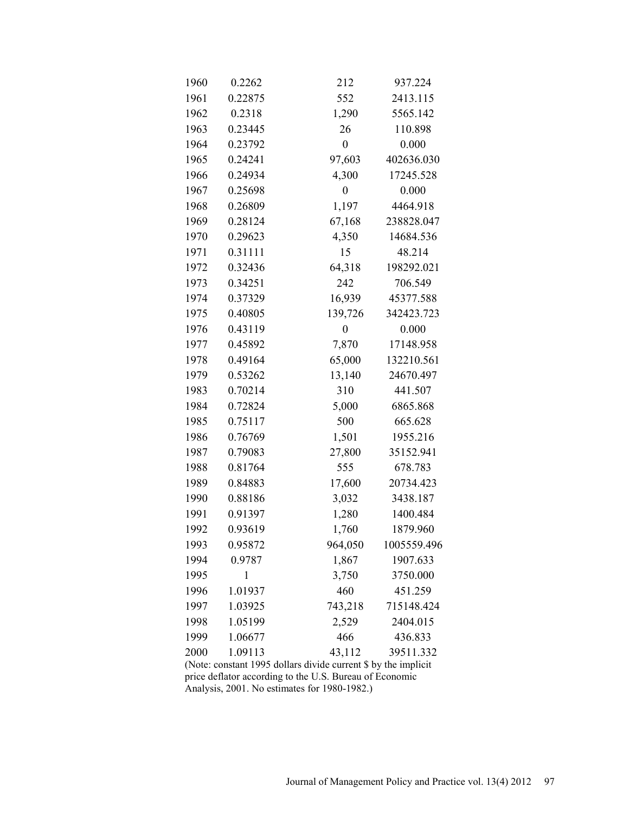| 1960 | 0.2262       | 212              | 937.224     |  |
|------|--------------|------------------|-------------|--|
| 1961 | 0.22875      | 552              | 2413.115    |  |
| 1962 | 0.2318       | 1,290            | 5565.142    |  |
| 1963 | 0.23445      | 26               | 110.898     |  |
| 1964 | 0.23792      | $\boldsymbol{0}$ | 0.000       |  |
| 1965 | 0.24241      | 97,603           | 402636.030  |  |
| 1966 | 0.24934      | 4,300            | 17245.528   |  |
| 1967 | 0.25698      | $\boldsymbol{0}$ | 0.000       |  |
| 1968 | 0.26809      | 1,197            | 4464.918    |  |
| 1969 | 0.28124      | 67,168           | 238828.047  |  |
| 1970 | 0.29623      | 4,350            | 14684.536   |  |
| 1971 | 0.31111      | 15               | 48.214      |  |
| 1972 | 0.32436      | 64,318           | 198292.021  |  |
| 1973 | 0.34251      | 242              | 706.549     |  |
| 1974 | 0.37329      | 16,939           | 45377.588   |  |
| 1975 | 0.40805      | 139,726          | 342423.723  |  |
| 1976 | 0.43119      | $\boldsymbol{0}$ | 0.000       |  |
| 1977 | 0.45892      | 7,870            | 17148.958   |  |
| 1978 | 0.49164      | 65,000           | 132210.561  |  |
| 1979 | 0.53262      | 13,140           | 24670.497   |  |
| 1983 | 0.70214      | 310              | 441.507     |  |
| 1984 | 0.72824      | 5,000            | 6865.868    |  |
| 1985 | 0.75117      | 500              | 665.628     |  |
| 1986 | 0.76769      | 1,501            | 1955.216    |  |
| 1987 | 0.79083      | 27,800           | 35152.941   |  |
| 1988 | 0.81764      | 555              | 678.783     |  |
| 1989 | 0.84883      | 17,600           | 20734.423   |  |
| 1990 | 0.88186      | 3,032            | 3438.187    |  |
| 1991 | 0.91397      | 1,280            | 1400.484    |  |
| 1992 | 0.93619      | 1,760            | 1879.960    |  |
| 1993 | 0.95872      | 964,050          | 1005559.496 |  |
| 1994 | 0.9787       | 1,867            | 1907.633    |  |
| 1995 | $\mathbf{1}$ | 3,750            | 3750.000    |  |
| 1996 | 1.01937      | 460              | 451.259     |  |
| 1997 | 1.03925      | 743,218          | 715148.424  |  |
| 1998 | 1.05199      | 2,529            | 2404.015    |  |
| 1999 | 1.06677      | 466              | 436.833     |  |
| 2000 | 1.09113      | 43,112           | 39511.332   |  |

(Note: constant 1995 dollars divide current \$ by the implicit price deflator according to the U.S. Bureau of Economic Analysis, 2001. No estimates for 1980-1982.)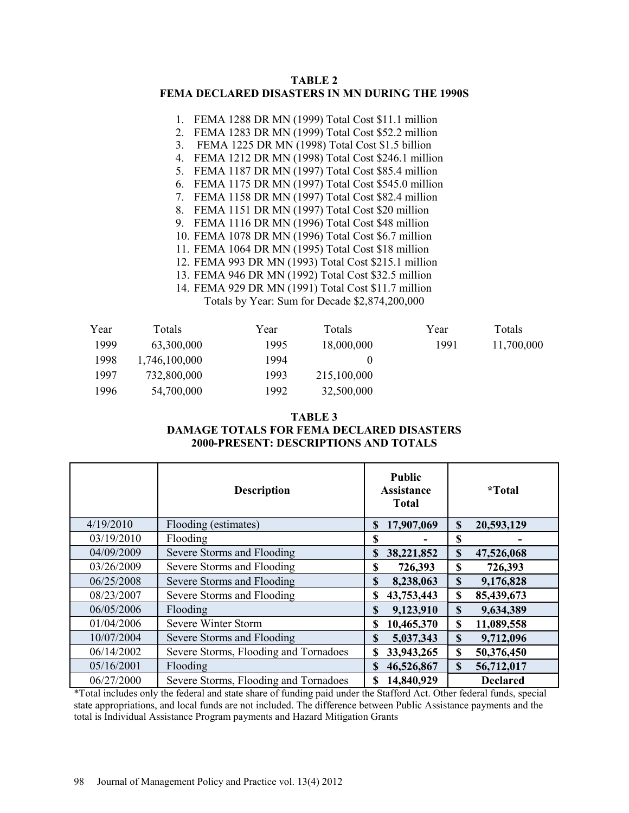## **TABLE 2 FEMA DECLARED DISASTERS IN MN DURING THE 1990S**

- 1. FEMA 1288 DR MN (1999) Total Cost \$11.1 million
- 2. FEMA 1283 DR MN (1999) Total Cost \$52.2 million
- 3. FEMA 1225 DR MN (1998) Total Cost \$1.5 billion
- 4. FEMA 1212 DR MN (1998) Total Cost \$246.1 million
- 5. FEMA 1187 DR MN (1997) Total Cost \$85.4 million
- 6. FEMA 1175 DR MN (1997) Total Cost \$545.0 million
- 7. FEMA 1158 DR MN (1997) Total Cost \$82.4 million
- 8. FEMA 1151 DR MN (1997) Total Cost \$20 million
- 9. FEMA 1116 DR MN (1996) Total Cost \$48 million
- 10. FEMA 1078 DR MN (1996) Total Cost \$6.7 million
- 11. FEMA 1064 DR MN (1995) Total Cost \$18 million
- 12. FEMA 993 DR MN (1993) Total Cost \$215.1 million
- 13. FEMA 946 DR MN (1992) Total Cost \$32.5 million
- 14. FEMA 929 DR MN (1991) Total Cost \$11.7 million Totals by Year: Sum for Decade \$2,874,200,000

| Year | Totals        | Year | Totals      | Year | Totals     |
|------|---------------|------|-------------|------|------------|
| 1999 | 63,300,000    | 1995 | 18,000,000  | 1991 | 11,700,000 |
| 1998 | 1,746,100,000 | 1994 |             |      |            |
| 1997 | 732,800,000   | 1993 | 215,100,000 |      |            |
| 1996 | 54,700,000    | 1992 | 32,500,000  |      |            |

## **TABLE 3 DAMAGE TOTALS FOR FEMA DECLARED DISASTERS 2000-PRESENT: DESCRIPTIONS AND TOTALS**

|            | <b>Description</b>                    |             | <b>Public</b><br><b>Assistance</b><br><b>Total</b> |             | <i>*</i> Total  |
|------------|---------------------------------------|-------------|----------------------------------------------------|-------------|-----------------|
| 4/19/2010  | Flooding (estimates)                  | \$          | 17,907,069                                         | \$          | 20,593,129      |
| 03/19/2010 | Flooding                              | \$          |                                                    | S           |                 |
| 04/09/2009 | Severe Storms and Flooding            | \$          | 38,221,852                                         | \$          | 47,526,068      |
| 03/26/2009 | Severe Storms and Flooding            | \$          | 726,393                                            | \$          | 726,393         |
| 06/25/2008 | Severe Storms and Flooding            | \$          | 8,238,063                                          | $\mathbf S$ | 9,176,828       |
| 08/23/2007 | Severe Storms and Flooding            | \$          | 43,753,443                                         | \$          | 85,439,673      |
| 06/05/2006 | Flooding                              | $\mathbf S$ | 9,123,910                                          | \$          | 9,634,389       |
| 01/04/2006 | Severe Winter Storm                   | S           | 10,465,370                                         | \$          | 11,089,558      |
| 10/07/2004 | Severe Storms and Flooding            | \$          | 5,037,343                                          | S           | 9,712,096       |
| 06/14/2002 | Severe Storms, Flooding and Tornadoes | \$          | 33,943,265                                         | \$          | 50,376,450      |
| 05/16/2001 | Flooding                              | <b>S</b>    | 46,526,867                                         | \$          | 56,712,017      |
| 06/27/2000 | Severe Storms, Flooding and Tornadoes | S           | 14,840,929                                         |             | <b>Declared</b> |

\*Total includes only the federal and state share of funding paid under the Stafford Act. Other federal funds, special state appropriations, and local funds are not included. The difference between Public Assistance payments and the total is Individual Assistance Program payments and Hazard Mitigation Grants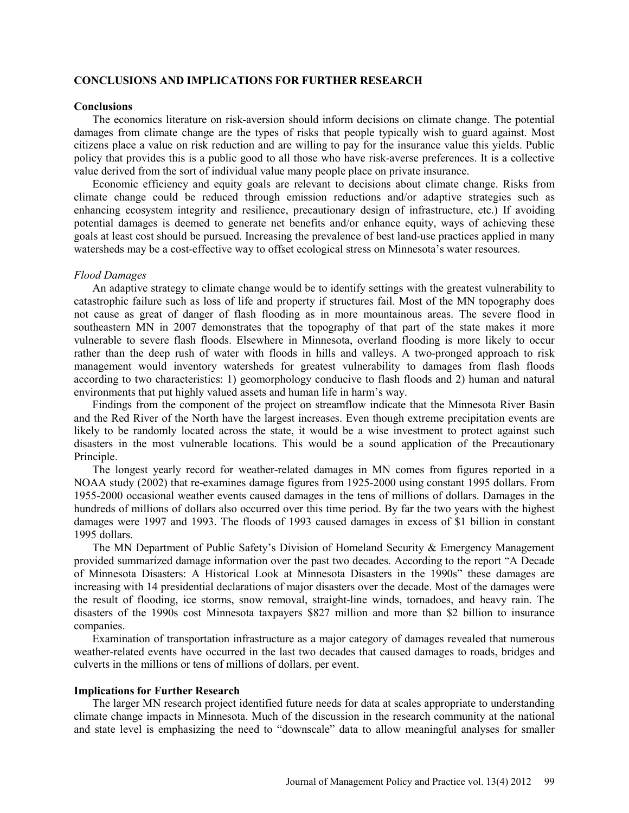## **CONCLUSIONS AND IMPLICATIONS FOR FURTHER RESEARCH**

#### **Conclusions**

The economics literature on risk-aversion should inform decisions on climate change. The potential damages from climate change are the types of risks that people typically wish to guard against. Most citizens place a value on risk reduction and are willing to pay for the insurance value this yields. Public policy that provides this is a public good to all those who have risk-averse preferences. It is a collective value derived from the sort of individual value many people place on private insurance.

Economic efficiency and equity goals are relevant to decisions about climate change. Risks from climate change could be reduced through emission reductions and/or adaptive strategies such as enhancing ecosystem integrity and resilience, precautionary design of infrastructure, etc.) If avoiding potential damages is deemed to generate net benefits and/or enhance equity, ways of achieving these goals at least cost should be pursued. Increasing the prevalence of best land-use practices applied in many watersheds may be a cost-effective way to offset ecological stress on Minnesota's water resources.

#### *Flood Damages*

An adaptive strategy to climate change would be to identify settings with the greatest vulnerability to catastrophic failure such as loss of life and property if structures fail. Most of the MN topography does not cause as great of danger of flash flooding as in more mountainous areas. The severe flood in southeastern MN in 2007 demonstrates that the topography of that part of the state makes it more vulnerable to severe flash floods. Elsewhere in Minnesota, overland flooding is more likely to occur rather than the deep rush of water with floods in hills and valleys. A two-pronged approach to risk management would inventory watersheds for greatest vulnerability to damages from flash floods according to two characteristics: 1) geomorphology conducive to flash floods and 2) human and natural environments that put highly valued assets and human life in harm's way.

Findings from the component of the project on streamflow indicate that the Minnesota River Basin and the Red River of the North have the largest increases. Even though extreme precipitation events are likely to be randomly located across the state, it would be a wise investment to protect against such disasters in the most vulnerable locations. This would be a sound application of the Precautionary Principle.

The longest yearly record for weather-related damages in MN comes from figures reported in a NOAA study (2002) that re-examines damage figures from 1925-2000 using constant 1995 dollars. From 1955-2000 occasional weather events caused damages in the tens of millions of dollars. Damages in the hundreds of millions of dollars also occurred over this time period. By far the two years with the highest damages were 1997 and 1993. The floods of 1993 caused damages in excess of \$1 billion in constant 1995 dollars.

The MN Department of Public Safety's Division of Homeland Security & Emergency Management provided summarized damage information over the past two decades. According to the report "A Decade of Minnesota Disasters: A Historical Look at Minnesota Disasters in the 1990s" these damages are increasing with 14 presidential declarations of major disasters over the decade. Most of the damages were the result of flooding, ice storms, snow removal, straight-line winds, tornadoes, and heavy rain. The disasters of the 1990s cost Minnesota taxpayers \$827 million and more than \$2 billion to insurance companies.

Examination of transportation infrastructure as a major category of damages revealed that numerous weather-related events have occurred in the last two decades that caused damages to roads, bridges and culverts in the millions or tens of millions of dollars, per event.

#### **Implications for Further Research**

The larger MN research project identified future needs for data at scales appropriate to understanding climate change impacts in Minnesota. Much of the discussion in the research community at the national and state level is emphasizing the need to "downscale" data to allow meaningful analyses for smaller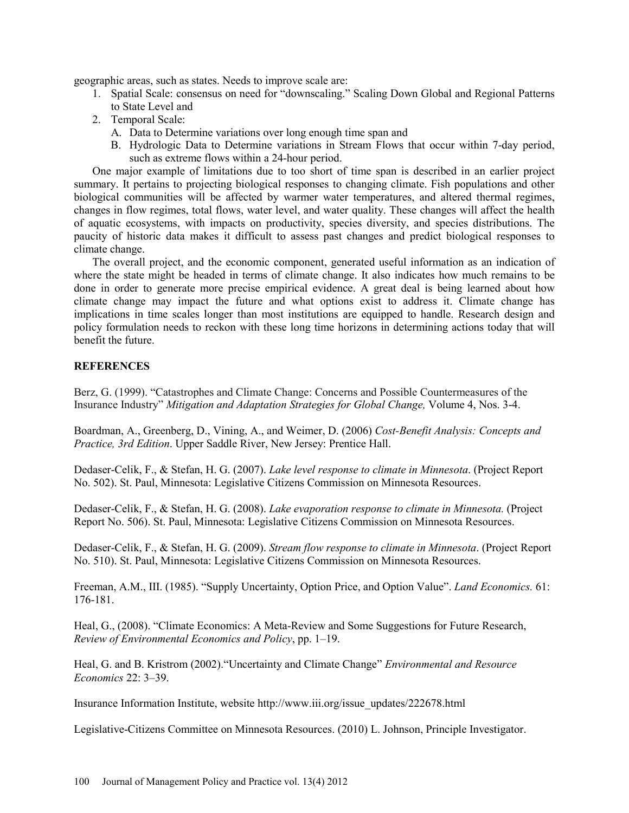geographic areas, such as states. Needs to improve scale are:

- 1. Spatial Scale: consensus on need for "downscaling." Scaling Down Global and Regional Patterns to State Level and
- 2. Temporal Scale:
	- A. Data to Determine variations over long enough time span and
	- B. Hydrologic Data to Determine variations in Stream Flows that occur within 7-day period, such as extreme flows within a 24-hour period.

One major example of limitations due to too short of time span is described in an earlier project summary. It pertains to projecting biological responses to changing climate. Fish populations and other biological communities will be affected by warmer water temperatures, and altered thermal regimes, changes in flow regimes, total flows, water level, and water quality. These changes will affect the health of aquatic ecosystems, with impacts on productivity, species diversity, and species distributions. The paucity of historic data makes it difficult to assess past changes and predict biological responses to climate change.

The overall project, and the economic component, generated useful information as an indication of where the state might be headed in terms of climate change. It also indicates how much remains to be done in order to generate more precise empirical evidence. A great deal is being learned about how climate change may impact the future and what options exist to address it. Climate change has implications in time scales longer than most institutions are equipped to handle. Research design and policy formulation needs to reckon with these long time horizons in determining actions today that will benefit the future.

## **REFERENCES**

Berz, G. (1999). "Catastrophes and Climate Change: Concerns and Possible Countermeasures of the Insurance Industry" *Mitigation and Adaptation Strategies for Global Change,* Volume 4, Nos. 3-4.

Boardman, A., Greenberg, D., Vining, A., and Weimer, D. (2006) *Cost-Benefit Analysis: Concepts and Practice, 3rd Edition*. Upper Saddle River, New Jersey: Prentice Hall.

Dedaser-Celik, F., & Stefan, H. G. (2007). *Lake level response to climate in Minnesota*. (Project Report No. 502). St. Paul, Minnesota: Legislative Citizens Commission on Minnesota Resources.

Dedaser-Celik, F., & Stefan, H. G. (2008). *Lake evaporation response to climate in Minnesota.* (Project Report No. 506). St. Paul, Minnesota: Legislative Citizens Commission on Minnesota Resources.

Dedaser-Celik, F., & Stefan, H. G. (2009). *Stream flow response to climate in Minnesota*. (Project Report No. 510). St. Paul, Minnesota: Legislative Citizens Commission on Minnesota Resources.

Freeman, A.M., III. (1985). "Supply Uncertainty, Option Price, and Option Value". *Land Economics.* 61: 176-181.

Heal, G., (2008). "Climate Economics: A Meta-Review and Some Suggestions for Future Research, *Review of Environmental Economics and Policy*, pp. 1–19.

Heal, G. and B. Kristrom (2002)."Uncertainty and Climate Change" *Environmental and Resource Economics* 22: 3–39.

Insurance Information Institute, website http://www.iii.org/issue\_updates/222678.html

Legislative-Citizens Committee on Minnesota Resources. (2010) L. Johnson, Principle Investigator.